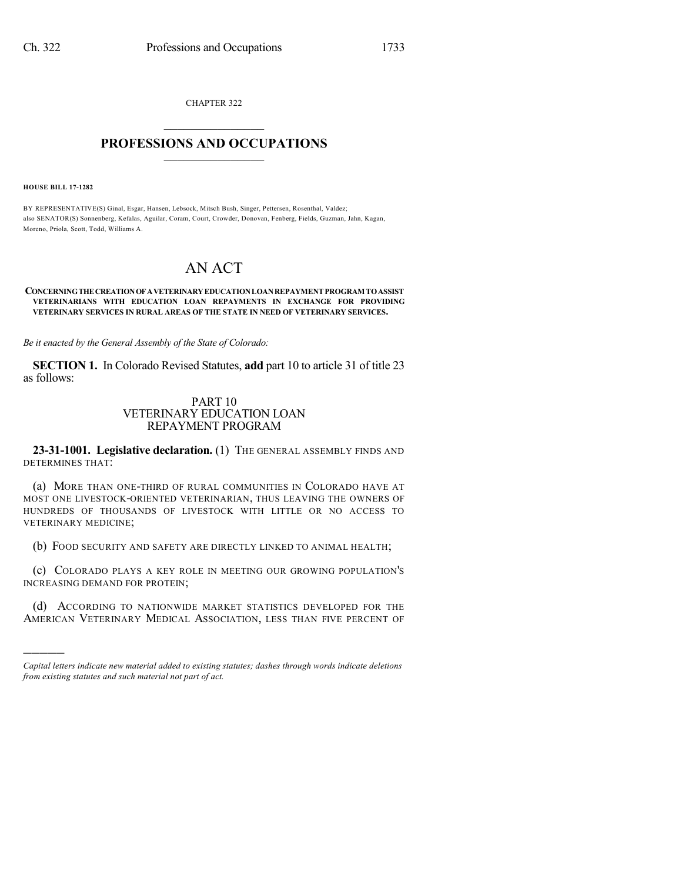CHAPTER 322  $\mathcal{L}_\text{max}$  . The set of the set of the set of the set of the set of the set of the set of the set of the set of the set of the set of the set of the set of the set of the set of the set of the set of the set of the set

## **PROFESSIONS AND OCCUPATIONS**  $\frac{1}{2}$  ,  $\frac{1}{2}$  ,  $\frac{1}{2}$  ,  $\frac{1}{2}$  ,  $\frac{1}{2}$  ,  $\frac{1}{2}$  ,  $\frac{1}{2}$

**HOUSE BILL 17-1282**

)))))

BY REPRESENTATIVE(S) Ginal, Esgar, Hansen, Lebsock, Mitsch Bush, Singer, Pettersen, Rosenthal, Valdez; also SENATOR(S) Sonnenberg, Kefalas, Aguilar, Coram, Court, Crowder, Donovan, Fenberg, Fields, Guzman, Jahn, Kagan, Moreno, Priola, Scott, Todd, Williams A.

# AN ACT

#### **CONCERNINGTHECREATIONOFAVETERINARYEDUCATIONLOANREPAYMENTPROGRAM TOASSIST VETERINARIANS WITH EDUCATION LOAN REPAYMENTS IN EXCHANGE FOR PROVIDING VETERINARY SERVICES IN RURAL AREAS OF THE STATE IN NEED OF VETERINARY SERVICES.**

*Be it enacted by the General Assembly of the State of Colorado:*

**SECTION 1.** In Colorado Revised Statutes, **add** part 10 to article 31 of title 23 as follows:

## PART 10 VETERINARY EDUCATION LOAN REPAYMENT PROGRAM

**23-31-1001. Legislative declaration.** (1) THE GENERAL ASSEMBLY FINDS AND DETERMINES THAT:

(a) MORE THAN ONE-THIRD OF RURAL COMMUNITIES IN COLORADO HAVE AT MOST ONE LIVESTOCK-ORIENTED VETERINARIAN, THUS LEAVING THE OWNERS OF HUNDREDS OF THOUSANDS OF LIVESTOCK WITH LITTLE OR NO ACCESS TO VETERINARY MEDICINE;

(b) FOOD SECURITY AND SAFETY ARE DIRECTLY LINKED TO ANIMAL HEALTH;

(c) COLORADO PLAYS A KEY ROLE IN MEETING OUR GROWING POPULATION'S INCREASING DEMAND FOR PROTEIN;

(d) ACCORDING TO NATIONWIDE MARKET STATISTICS DEVELOPED FOR THE AMERICAN VETERINARY MEDICAL ASSOCIATION, LESS THAN FIVE PERCENT OF

*Capital letters indicate new material added to existing statutes; dashes through words indicate deletions from existing statutes and such material not part of act.*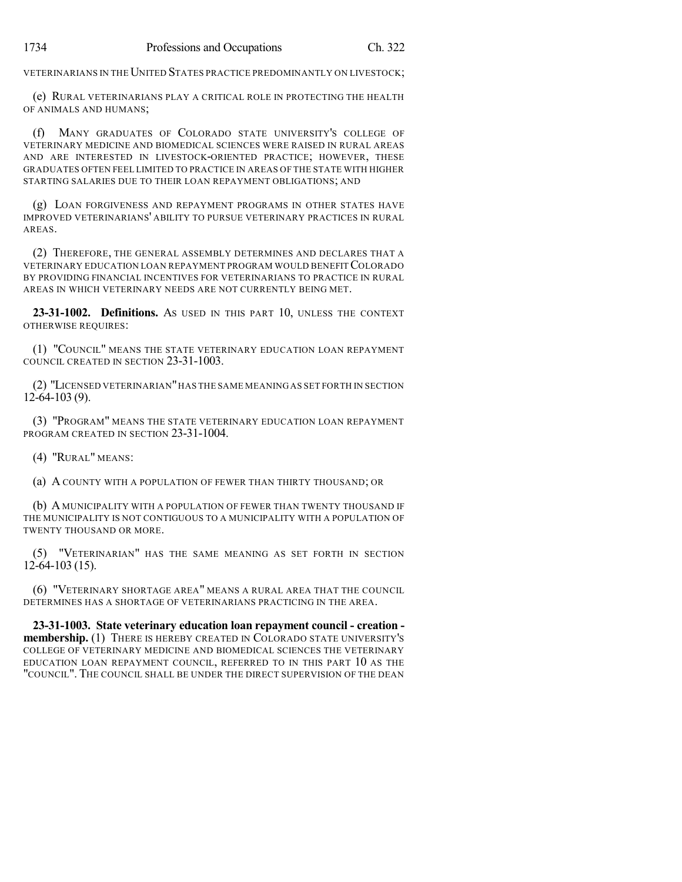VETERINARIANS IN THE UNITED STATES PRACTICE PREDOMINANTLY ON LIVESTOCK;

(e) RURAL VETERINARIANS PLAY A CRITICAL ROLE IN PROTECTING THE HEALTH OF ANIMALS AND HUMANS;

(f) MANY GRADUATES OF COLORADO STATE UNIVERSITY'S COLLEGE OF VETERINARY MEDICINE AND BIOMEDICAL SCIENCES WERE RAISED IN RURAL AREAS AND ARE INTERESTED IN LIVESTOCK-ORIENTED PRACTICE; HOWEVER, THESE GRADUATES OFTEN FEEL LIMITED TO PRACTICE IN AREAS OF THE STATE WITH HIGHER STARTING SALARIES DUE TO THEIR LOAN REPAYMENT OBLIGATIONS; AND

(g) LOAN FORGIVENESS AND REPAYMENT PROGRAMS IN OTHER STATES HAVE IMPROVED VETERINARIANS' ABILITY TO PURSUE VETERINARY PRACTICES IN RURAL AREAS.

(2) THEREFORE, THE GENERAL ASSEMBLY DETERMINES AND DECLARES THAT A VETERINARY EDUCATION LOAN REPAYMENT PROGRAM WOULD BENEFITCOLORADO BY PROVIDING FINANCIAL INCENTIVES FOR VETERINARIANS TO PRACTICE IN RURAL AREAS IN WHICH VETERINARY NEEDS ARE NOT CURRENTLY BEING MET.

**23-31-1002. Definitions.** AS USED IN THIS PART 10, UNLESS THE CONTEXT OTHERWISE REQUIRES:

(1) "COUNCIL" MEANS THE STATE VETERINARY EDUCATION LOAN REPAYMENT COUNCIL CREATED IN SECTION 23-31-1003.

(2) "LICENSED VETERINARIAN"HAS THE SAME MEANING AS SET FORTH IN SECTION  $12-64-103(9)$ .

(3) "PROGRAM" MEANS THE STATE VETERINARY EDUCATION LOAN REPAYMENT PROGRAM CREATED IN SECTION 23-31-1004.

(4) "RURAL" MEANS:

(a) A COUNTY WITH A POPULATION OF FEWER THAN THIRTY THOUSAND; OR

(b) A MUNICIPALITY WITH A POPULATION OF FEWER THAN TWENTY THOUSAND IF THE MUNICIPALITY IS NOT CONTIGUOUS TO A MUNICIPALITY WITH A POPULATION OF TWENTY THOUSAND OR MORE.

(5) "VETERINARIAN" HAS THE SAME MEANING AS SET FORTH IN SECTION 12-64-103 (15).

(6) "VETERINARY SHORTAGE AREA" MEANS A RURAL AREA THAT THE COUNCIL DETERMINES HAS A SHORTAGE OF VETERINARIANS PRACTICING IN THE AREA.

**23-31-1003. State veterinary education loan repayment council - creation membership.** (1) THERE IS HEREBY CREATED IN COLORADO STATE UNIVERSITY'S COLLEGE OF VETERINARY MEDICINE AND BIOMEDICAL SCIENCES THE VETERINARY EDUCATION LOAN REPAYMENT COUNCIL, REFERRED TO IN THIS PART 10 AS THE "COUNCIL". THE COUNCIL SHALL BE UNDER THE DIRECT SUPERVISION OF THE DEAN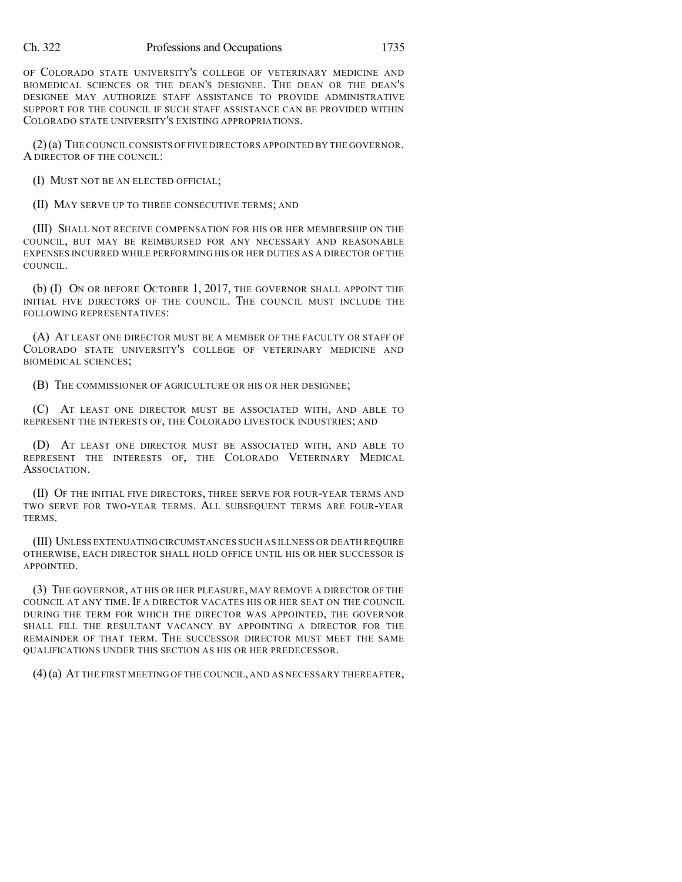### Ch. 322 Professions and Occupations 1735

OF COLORADO STATE UNIVERSITY'S COLLEGE OF VETERINARY MEDICINE AND BIOMEDICAL SCIENCES OR THE DEAN'S DESIGNEE. THE DEAN OR THE DEAN'S DESIGNEE MAY AUTHORIZE STAFF ASSISTANCE TO PROVIDE ADMINISTRATIVE SUPPORT FOR THE COUNCIL IF SUCH STAFF ASSISTANCE CAN BE PROVIDED WITHIN COLORADO STATE UNIVERSITY'S EXISTING APPROPRIATIONS.

(2)(a) THE COUNCIL CONSISTS OF FIVE DIRECTORS APPOINTED BY THE GOVERNOR. A DIRECTOR OF THE COUNCIL:

(I) MUST NOT BE AN ELECTED OFFICIAL;

(II) MAY SERVE UP TO THREE CONSECUTIVE TERMS; AND

(III) SHALL NOT RECEIVE COMPENSATION FOR HIS OR HER MEMBERSHIP ON THE COUNCIL, BUT MAY BE REIMBURSED FOR ANY NECESSARY AND REASONABLE EXPENSES INCURRED WHILE PERFORMING HIS OR HER DUTIES AS A DIRECTOR OF THE COUNCIL.

(b) (I) ON OR BEFORE OCTOBER 1, 2017, THE GOVERNOR SHALL APPOINT THE INITIAL FIVE DIRECTORS OF THE COUNCIL. THE COUNCIL MUST INCLUDE THE FOLLOWING REPRESENTATIVES:

(A) AT LEAST ONE DIRECTOR MUST BE A MEMBER OF THE FACULTY OR STAFF OF COLORADO STATE UNIVERSITY'S COLLEGE OF VETERINARY MEDICINE AND BIOMEDICAL SCIENCES;

(B) THE COMMISSIONER OF AGRICULTURE OR HIS OR HER DESIGNEE;

(C) AT LEAST ONE DIRECTOR MUST BE ASSOCIATED WITH, AND ABLE TO REPRESENT THE INTERESTS OF, THE COLORADO LIVESTOCK INDUSTRIES; AND

(D) AT LEAST ONE DIRECTOR MUST BE ASSOCIATED WITH, AND ABLE TO REPRESENT THE INTERESTS OF, THE COLORADO VETERINARY MEDICAL ASSOCIATION.

(II) OF THE INITIAL FIVE DIRECTORS, THREE SERVE FOR FOUR-YEAR TERMS AND TWO SERVE FOR TWO-YEAR TERMS. ALL SUBSEQUENT TERMS ARE FOUR-YEAR TERMS.

(III) UNLESS EXTENUATINGCIRCUMSTANCES SUCH AS ILLNESS OR DEATH REQUIRE OTHERWISE, EACH DIRECTOR SHALL HOLD OFFICE UNTIL HIS OR HER SUCCESSOR IS APPOINTED.

(3) THE GOVERNOR, AT HIS OR HER PLEASURE, MAY REMOVE A DIRECTOR OF THE COUNCIL AT ANY TIME. IF A DIRECTOR VACATES HIS OR HER SEAT ON THE COUNCIL DURING THE TERM FOR WHICH THE DIRECTOR WAS APPOINTED, THE GOVERNOR SHALL FILL THE RESULTANT VACANCY BY APPOINTING A DIRECTOR FOR THE REMAINDER OF THAT TERM. THE SUCCESSOR DIRECTOR MUST MEET THE SAME QUALIFICATIONS UNDER THIS SECTION AS HIS OR HER PREDECESSOR.

(4)(a) AT THE FIRST MEETING OF THE COUNCIL, AND AS NECESSARY THEREAFTER,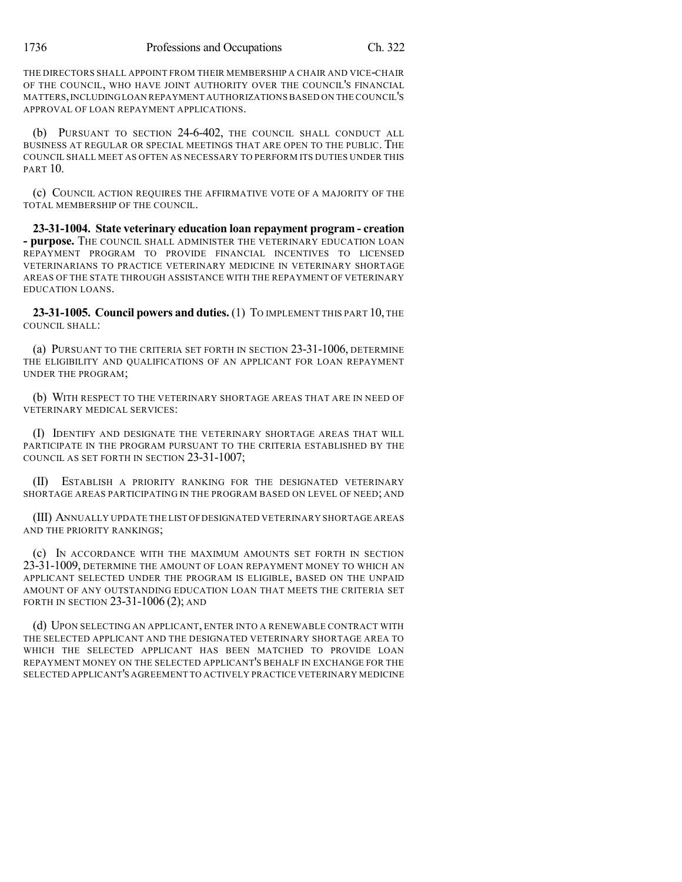THE DIRECTORS SHALL APPOINT FROM THEIR MEMBERSHIP A CHAIR AND VICE-CHAIR OF THE COUNCIL, WHO HAVE JOINT AUTHORITY OVER THE COUNCIL'S FINANCIAL MATTERS,INCLUDINGLOAN REPAYMENT AUTHORIZATIONS BASED ON THE COUNCIL'S APPROVAL OF LOAN REPAYMENT APPLICATIONS.

(b) PURSUANT TO SECTION 24-6-402, THE COUNCIL SHALL CONDUCT ALL BUSINESS AT REGULAR OR SPECIAL MEETINGS THAT ARE OPEN TO THE PUBLIC. THE COUNCIL SHALL MEET AS OFTEN AS NECESSARY TO PERFORM ITS DUTIES UNDER THIS PART 10.

(c) COUNCIL ACTION REQUIRES THE AFFIRMATIVE VOTE OF A MAJORITY OF THE TOTAL MEMBERSHIP OF THE COUNCIL.

**23-31-1004. State veterinary education loan repayment program - creation - purpose.** THE COUNCIL SHALL ADMINISTER THE VETERINARY EDUCATION LOAN REPAYMENT PROGRAM TO PROVIDE FINANCIAL INCENTIVES TO LICENSED VETERINARIANS TO PRACTICE VETERINARY MEDICINE IN VETERINARY SHORTAGE AREAS OF THE STATE THROUGH ASSISTANCE WITH THE REPAYMENT OF VETERINARY EDUCATION LOANS.

**23-31-1005. Council powers and duties.** (1) TO IMPLEMENT THIS PART 10, THE COUNCIL SHALL:

(a) PURSUANT TO THE CRITERIA SET FORTH IN SECTION 23-31-1006, DETERMINE THE ELIGIBILITY AND QUALIFICATIONS OF AN APPLICANT FOR LOAN REPAYMENT UNDER THE PROGRAM;

(b) WITH RESPECT TO THE VETERINARY SHORTAGE AREAS THAT ARE IN NEED OF VETERINARY MEDICAL SERVICES:

(I) IDENTIFY AND DESIGNATE THE VETERINARY SHORTAGE AREAS THAT WILL PARTICIPATE IN THE PROGRAM PURSUANT TO THE CRITERIA ESTABLISHED BY THE COUNCIL AS SET FORTH IN SECTION 23-31-1007;

(II) ESTABLISH A PRIORITY RANKING FOR THE DESIGNATED VETERINARY SHORTAGE AREAS PARTICIPATING IN THE PROGRAM BASED ON LEVEL OF NEED; AND

(III) ANNUALLY UPDATE THE LIST OFDESIGNATED VETERINARY SHORTAGE AREAS AND THE PRIORITY RANKINGS;

(c) IN ACCORDANCE WITH THE MAXIMUM AMOUNTS SET FORTH IN SECTION 23-31-1009, DETERMINE THE AMOUNT OF LOAN REPAYMENT MONEY TO WHICH AN APPLICANT SELECTED UNDER THE PROGRAM IS ELIGIBLE, BASED ON THE UNPAID AMOUNT OF ANY OUTSTANDING EDUCATION LOAN THAT MEETS THE CRITERIA SET FORTH IN SECTION 23-31-1006 (2); AND

(d) UPON SELECTING AN APPLICANT, ENTER INTO A RENEWABLE CONTRACT WITH THE SELECTED APPLICANT AND THE DESIGNATED VETERINARY SHORTAGE AREA TO WHICH THE SELECTED APPLICANT HAS BEEN MATCHED TO PROVIDE LOAN REPAYMENT MONEY ON THE SELECTED APPLICANT'S BEHALF IN EXCHANGE FOR THE SELECTED APPLICANT'S AGREEMENT TO ACTIVELY PRACTICE VETERINARY MEDICINE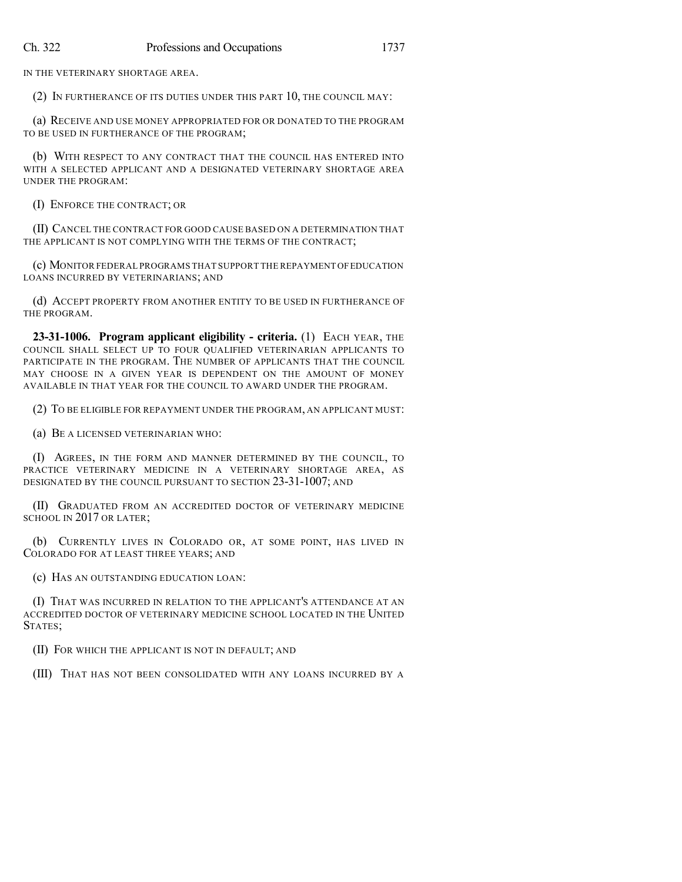IN THE VETERINARY SHORTAGE AREA.

(2) IN FURTHERANCE OF ITS DUTIES UNDER THIS PART 10, THE COUNCIL MAY:

(a) RECEIVE AND USE MONEY APPROPRIATED FOR OR DONATED TO THE PROGRAM TO BE USED IN FURTHERANCE OF THE PROGRAM;

(b) WITH RESPECT TO ANY CONTRACT THAT THE COUNCIL HAS ENTERED INTO WITH A SELECTED APPLICANT AND A DESIGNATED VETERINARY SHORTAGE AREA UNDER THE PROGRAM:

(I) ENFORCE THE CONTRACT; OR

(II) CANCEL THE CONTRACT FOR GOOD CAUSE BASED ON A DETERMINATION THAT THE APPLICANT IS NOT COMPLYING WITH THE TERMS OF THE CONTRACT;

(c) MONITOR FEDERAL PROGRAMS THAT SUPPORT THE REPAYMENT OFEDUCATION LOANS INCURRED BY VETERINARIANS; AND

(d) ACCEPT PROPERTY FROM ANOTHER ENTITY TO BE USED IN FURTHERANCE OF THE PROGRAM.

**23-31-1006. Program applicant eligibility - criteria.** (1) EACH YEAR, THE COUNCIL SHALL SELECT UP TO FOUR QUALIFIED VETERINARIAN APPLICANTS TO PARTICIPATE IN THE PROGRAM. THE NUMBER OF APPLICANTS THAT THE COUNCIL MAY CHOOSE IN A GIVEN YEAR IS DEPENDENT ON THE AMOUNT OF MONEY AVAILABLE IN THAT YEAR FOR THE COUNCIL TO AWARD UNDER THE PROGRAM.

(2) TO BE ELIGIBLE FOR REPAYMENT UNDER THE PROGRAM, AN APPLICANT MUST:

(a) BE A LICENSED VETERINARIAN WHO:

(I) AGREES, IN THE FORM AND MANNER DETERMINED BY THE COUNCIL, TO PRACTICE VETERINARY MEDICINE IN A VETERINARY SHORTAGE AREA, AS DESIGNATED BY THE COUNCIL PURSUANT TO SECTION 23-31-1007; AND

(II) GRADUATED FROM AN ACCREDITED DOCTOR OF VETERINARY MEDICINE SCHOOL IN 2017 OR LATER:

(b) CURRENTLY LIVES IN COLORADO OR, AT SOME POINT, HAS LIVED IN COLORADO FOR AT LEAST THREE YEARS; AND

(c) HAS AN OUTSTANDING EDUCATION LOAN:

(I) THAT WAS INCURRED IN RELATION TO THE APPLICANT'S ATTENDANCE AT AN ACCREDITED DOCTOR OF VETERINARY MEDICINE SCHOOL LOCATED IN THE UNITED STATES;

(II) FOR WHICH THE APPLICANT IS NOT IN DEFAULT; AND

(III) THAT HAS NOT BEEN CONSOLIDATED WITH ANY LOANS INCURRED BY A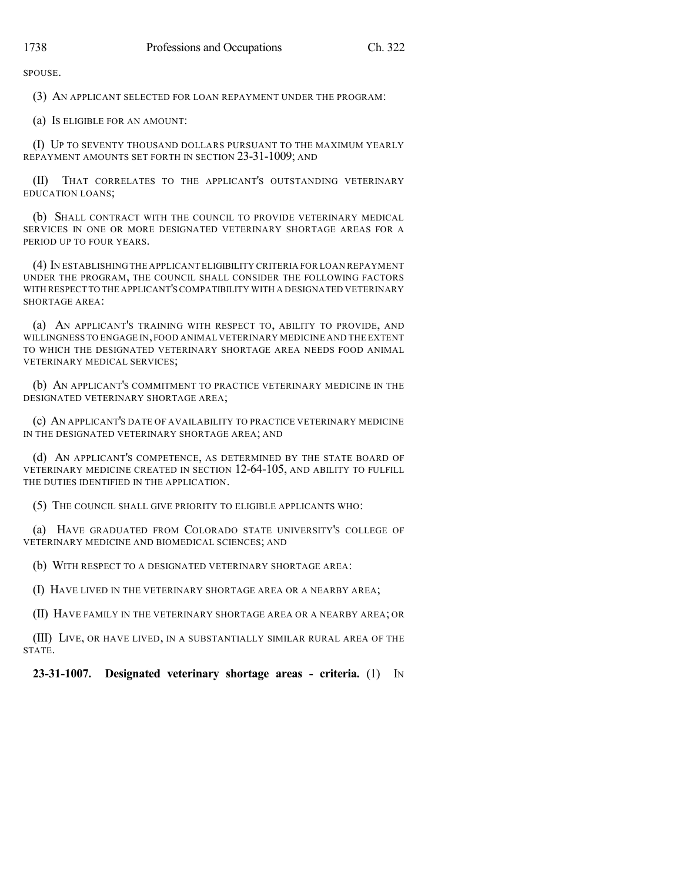SPOUSE.

(3) AN APPLICANT SELECTED FOR LOAN REPAYMENT UNDER THE PROGRAM:

(a) IS ELIGIBLE FOR AN AMOUNT:

(I) UP TO SEVENTY THOUSAND DOLLARS PURSUANT TO THE MAXIMUM YEARLY REPAYMENT AMOUNTS SET FORTH IN SECTION 23-31-1009; AND

(II) THAT CORRELATES TO THE APPLICANT'S OUTSTANDING VETERINARY EDUCATION LOANS;

(b) SHALL CONTRACT WITH THE COUNCIL TO PROVIDE VETERINARY MEDICAL SERVICES IN ONE OR MORE DESIGNATED VETERINARY SHORTAGE AREAS FOR A PERIOD UP TO FOUR YEARS.

(4) IN ESTABLISHING THE APPLICANT ELIGIBILITY CRITERIA FOR LOAN REPAYMENT UNDER THE PROGRAM, THE COUNCIL SHALL CONSIDER THE FOLLOWING FACTORS WITH RESPECT TO THE APPLICANT'SCOMPATIBILITY WITH A DESIGNATED VETERINARY SHORTAGE AREA:

(a) AN APPLICANT'S TRAINING WITH RESPECT TO, ABILITY TO PROVIDE, AND WILLINGNESS TO ENGAGE IN,FOOD ANIMAL VETERINARY MEDICINE AND THE EXTENT TO WHICH THE DESIGNATED VETERINARY SHORTAGE AREA NEEDS FOOD ANIMAL VETERINARY MEDICAL SERVICES;

(b) AN APPLICANT'S COMMITMENT TO PRACTICE VETERINARY MEDICINE IN THE DESIGNATED VETERINARY SHORTAGE AREA;

(c) AN APPLICANT'S DATE OF AVAILABILITY TO PRACTICE VETERINARY MEDICINE IN THE DESIGNATED VETERINARY SHORTAGE AREA; AND

(d) AN APPLICANT'S COMPETENCE, AS DETERMINED BY THE STATE BOARD OF VETERINARY MEDICINE CREATED IN SECTION 12-64-105, AND ABILITY TO FULFILL THE DUTIES IDENTIFIED IN THE APPLICATION.

(5) THE COUNCIL SHALL GIVE PRIORITY TO ELIGIBLE APPLICANTS WHO:

(a) HAVE GRADUATED FROM COLORADO STATE UNIVERSITY'S COLLEGE OF VETERINARY MEDICINE AND BIOMEDICAL SCIENCES; AND

(b) WITH RESPECT TO A DESIGNATED VETERINARY SHORTAGE AREA:

(I) HAVE LIVED IN THE VETERINARY SHORTAGE AREA OR A NEARBY AREA;

(II) HAVE FAMILY IN THE VETERINARY SHORTAGE AREA OR A NEARBY AREA; OR

(III) LIVE, OR HAVE LIVED, IN A SUBSTANTIALLY SIMILAR RURAL AREA OF THE STATE.

**23-31-1007. Designated veterinary shortage areas - criteria.** (1) IN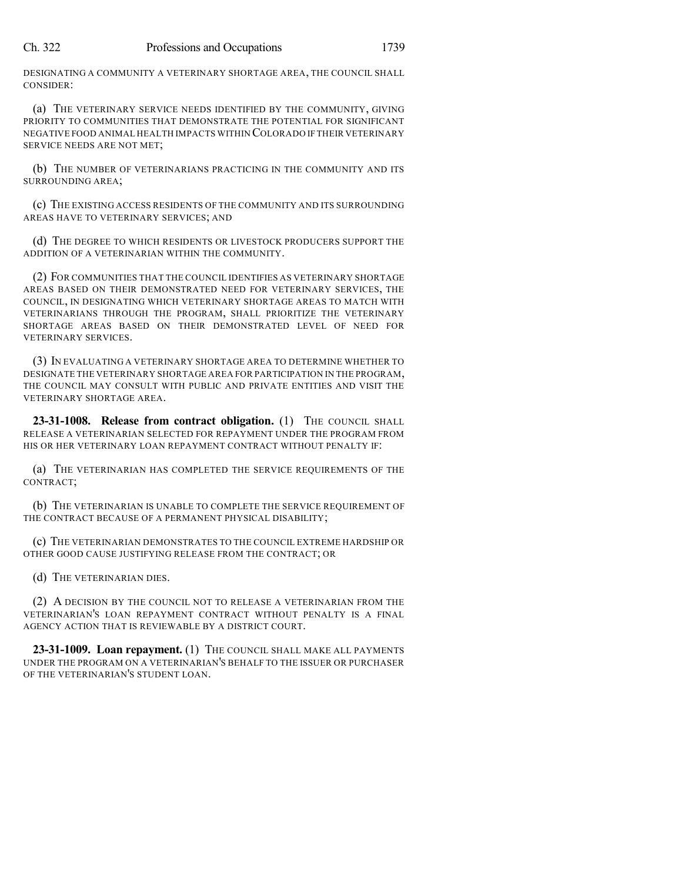DESIGNATING A COMMUNITY A VETERINARY SHORTAGE AREA, THE COUNCIL SHALL CONSIDER:

(a) THE VETERINARY SERVICE NEEDS IDENTIFIED BY THE COMMUNITY, GIVING PRIORITY TO COMMUNITIES THAT DEMONSTRATE THE POTENTIAL FOR SIGNIFICANT NEGATIVE FOOD ANIMAL HEALTH IMPACTS WITHIN COLORADO IF THEIR VETERINARY SERVICE NEEDS ARE NOT MET;

(b) THE NUMBER OF VETERINARIANS PRACTICING IN THE COMMUNITY AND ITS SURROUNDING AREA;

(c) THE EXISTING ACCESS RESIDENTS OF THE COMMUNITY AND ITS SURROUNDING AREAS HAVE TO VETERINARY SERVICES; AND

(d) THE DEGREE TO WHICH RESIDENTS OR LIVESTOCK PRODUCERS SUPPORT THE ADDITION OF A VETERINARIAN WITHIN THE COMMUNITY.

(2) FOR COMMUNITIES THAT THE COUNCIL IDENTIFIES AS VETERINARY SHORTAGE AREAS BASED ON THEIR DEMONSTRATED NEED FOR VETERINARY SERVICES, THE COUNCIL, IN DESIGNATING WHICH VETERINARY SHORTAGE AREAS TO MATCH WITH VETERINARIANS THROUGH THE PROGRAM, SHALL PRIORITIZE THE VETERINARY SHORTAGE AREAS BASED ON THEIR DEMONSTRATED LEVEL OF NEED FOR VETERINARY SERVICES.

(3) IN EVALUATING A VETERINARY SHORTAGE AREA TO DETERMINE WHETHER TO DESIGNATE THE VETERINARY SHORTAGE AREA FOR PARTICIPATION IN THE PROGRAM, THE COUNCIL MAY CONSULT WITH PUBLIC AND PRIVATE ENTITIES AND VISIT THE VETERINARY SHORTAGE AREA.

**23-31-1008. Release from contract obligation.** (1) THE COUNCIL SHALL RELEASE A VETERINARIAN SELECTED FOR REPAYMENT UNDER THE PROGRAM FROM HIS OR HER VETERINARY LOAN REPAYMENT CONTRACT WITHOUT PENALTY IF:

(a) THE VETERINARIAN HAS COMPLETED THE SERVICE REQUIREMENTS OF THE CONTRACT;

(b) THE VETERINARIAN IS UNABLE TO COMPLETE THE SERVICE REQUIREMENT OF THE CONTRACT BECAUSE OF A PERMANENT PHYSICAL DISABILITY;

(c) THE VETERINARIAN DEMONSTRATES TO THE COUNCIL EXTREME HARDSHIP OR OTHER GOOD CAUSE JUSTIFYING RELEASE FROM THE CONTRACT; OR

(d) THE VETERINARIAN DIES.

(2) A DECISION BY THE COUNCIL NOT TO RELEASE A VETERINARIAN FROM THE VETERINARIAN'S LOAN REPAYMENT CONTRACT WITHOUT PENALTY IS A FINAL AGENCY ACTION THAT IS REVIEWABLE BY A DISTRICT COURT.

**23-31-1009. Loan repayment.** (1) THE COUNCIL SHALL MAKE ALL PAYMENTS UNDER THE PROGRAM ON A VETERINARIAN'S BEHALF TO THE ISSUER OR PURCHASER OF THE VETERINARIAN'S STUDENT LOAN.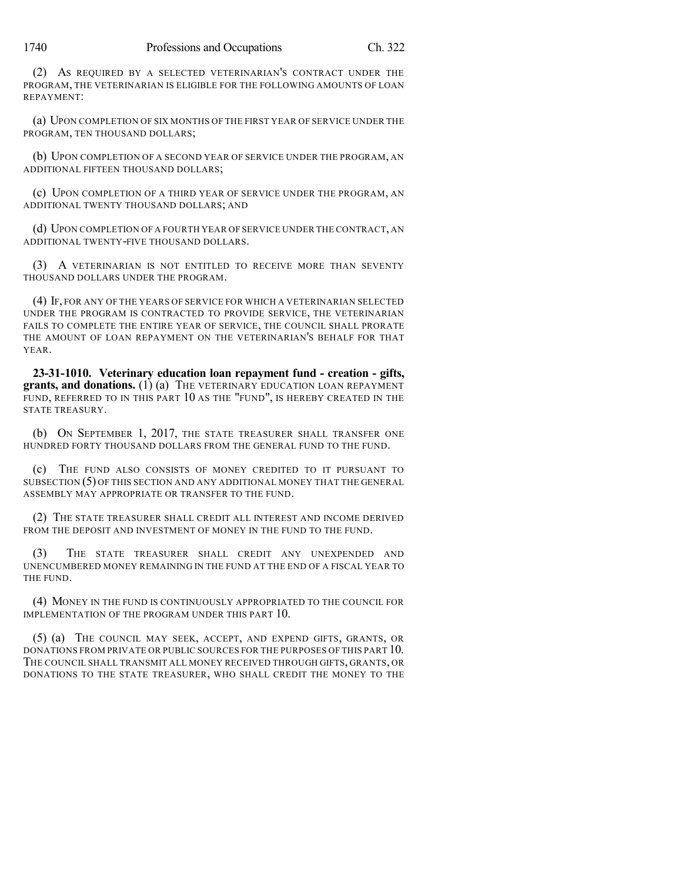(2) AS REQUIRED BY A SELECTED VETERINARIAN'S CONTRACT UNDER THE PROGRAM, THE VETERINARIAN IS ELIGIBLE FOR THE FOLLOWING AMOUNTS OF LOAN REPAYMENT:

(a) UPON COMPLETION OF SIX MONTHS OF THE FIRST YEAR OF SERVICE UNDER THE PROGRAM, TEN THOUSAND DOLLARS;

(b) UPON COMPLETION OF A SECOND YEAR OF SERVICE UNDER THE PROGRAM, AN ADDITIONAL FIFTEEN THOUSAND DOLLARS;

(c) UPON COMPLETION OF A THIRD YEAR OF SERVICE UNDER THE PROGRAM, AN ADDITIONAL TWENTY THOUSAND DOLLARS; AND

(d) UPON COMPLETION OF A FOURTH YEAR OF SERVICE UNDER THE CONTRACT, AN ADDITIONAL TWENTY-FIVE THOUSAND DOLLARS.

(3) A VETERINARIAN IS NOT ENTITLED TO RECEIVE MORE THAN SEVENTY THOUSAND DOLLARS UNDER THE PROGRAM.

(4) IF, FOR ANY OF THE YEARS OF SERVICE FOR WHICH A VETERINARIAN SELECTED UNDER THE PROGRAM IS CONTRACTED TO PROVIDE SERVICE, THE VETERINARIAN FAILS TO COMPLETE THE ENTIRE YEAR OF SERVICE, THE COUNCIL SHALL PRORATE THE AMOUNT OF LOAN REPAYMENT ON THE VETERINARIAN'S BEHALF FOR THAT YEAR.

**23-31-1010. Veterinary education loan repayment fund - creation - gifts, grants, and donations.** (1) (a) THE VETERINARY EDUCATION LOAN REPAYMENT FUND, REFERRED TO IN THIS PART 10 AS THE "FUND", IS HEREBY CREATED IN THE STATE TREASURY.

(b) ON SEPTEMBER 1, 2017, THE STATE TREASURER SHALL TRANSFER ONE HUNDRED FORTY THOUSAND DOLLARS FROM THE GENERAL FUND TO THE FUND.

(c) THE FUND ALSO CONSISTS OF MONEY CREDITED TO IT PURSUANT TO SUBSECTION (5) OF THIS SECTION AND ANY ADDITIONAL MONEY THAT THE GENERAL ASSEMBLY MAY APPROPRIATE OR TRANSFER TO THE FUND.

(2) THE STATE TREASURER SHALL CREDIT ALL INTEREST AND INCOME DERIVED FROM THE DEPOSIT AND INVESTMENT OF MONEY IN THE FUND TO THE FUND.

(3) THE STATE TREASURER SHALL CREDIT ANY UNEXPENDED AND UNENCUMBERED MONEY REMAINING IN THE FUND AT THE END OF A FISCAL YEAR TO THE FUND.

(4) MONEY IN THE FUND IS CONTINUOUSLY APPROPRIATED TO THE COUNCIL FOR IMPLEMENTATION OF THE PROGRAM UNDER THIS PART 10.

(5) (a) THE COUNCIL MAY SEEK, ACCEPT, AND EXPEND GIFTS, GRANTS, OR DONATIONS FROM PRIVATE OR PUBLIC SOURCES FOR THE PURPOSES OF THIS PART 10. THE COUNCIL SHALL TRANSMIT ALL MONEY RECEIVED THROUGH GIFTS, GRANTS, OR DONATIONS TO THE STATE TREASURER, WHO SHALL CREDIT THE MONEY TO THE